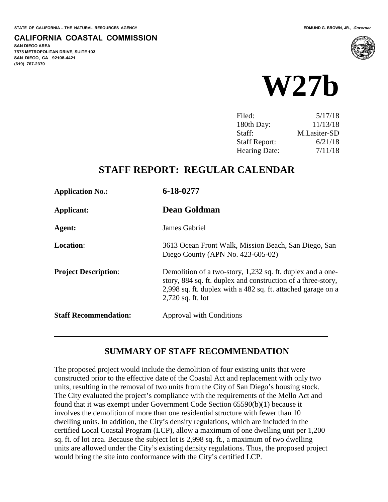**SAN DIEGO AREA**

**(619) 767-2370**

**7575 METROPOLITAN DRIVE, SUITE 103 SAN DIEGO, CA 92108-4421**

**CALIFORNIA COASTAL COMMISSION**

# **W27b**

| 5/17/18      |
|--------------|
| 11/13/18     |
| M.Lasiter-SD |
| 6/21/18      |
| 7/11/18      |
|              |

#### **STAFF REPORT: REGULAR CALENDAR**

| <b>Application No.:</b>      | 6-18-0277                                                                                                                                                                                                         |
|------------------------------|-------------------------------------------------------------------------------------------------------------------------------------------------------------------------------------------------------------------|
| Applicant:                   | <b>Dean Goldman</b>                                                                                                                                                                                               |
| Agent:                       | <b>James Gabriel</b>                                                                                                                                                                                              |
| <b>Location:</b>             | 3613 Ocean Front Walk, Mission Beach, San Diego, San<br>Diego County (APN No. $423-605-02$ )                                                                                                                      |
| <b>Project Description:</b>  | Demolition of a two-story, 1,232 sq. ft. duplex and a one-<br>story, 884 sq. ft. duplex and construction of a three-story,<br>2,998 sq. ft. duplex with a 482 sq. ft. attached garage on a<br>$2,720$ sq. ft. lot |
| <b>Staff Recommendation:</b> | <b>Approval with Conditions</b>                                                                                                                                                                                   |

#### **SUMMARY OF STAFF RECOMMENDATION**

The proposed project would include the demolition of four existing units that were constructed prior to the effective date of the Coastal Act and replacement with only two units, resulting in the removal of two units from the City of San Diego's housing stock. The City evaluated the project's compliance with the requirements of the Mello Act and found that it was exempt under Government Code Section 65590(b)(1) because it involves the demolition of more than one residential structure with fewer than 10 dwelling units. In addition, the City's density regulations, which are included in the certified Local Coastal Program (LCP), allow a maximum of one dwelling unit per 1,200 sq. ft. of lot area. Because the subject lot is 2,998 sq. ft., a maximum of two dwelling units are allowed under the City's existing density regulations. Thus, the proposed project would bring the site into conformance with the City's certified LCP.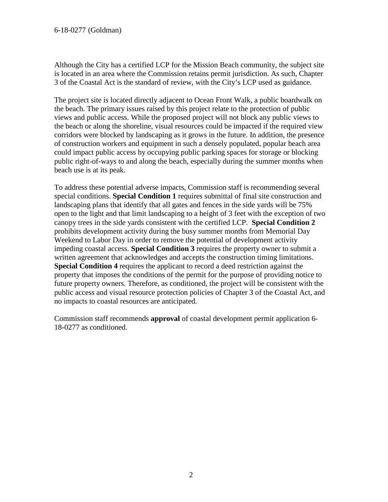Although the City has a certified LCP for the Mission Beach community, the subject site is located in an area where the Commission retains permit jurisdiction. As such, Chapter 3 of the Coastal Act is the standard of review, with the City's LCP used as guidance.

The project site is located directly adjacent to Ocean Front Walk, a public boardwalk on the beach. The primary issues raised by this project relate to the protection of public views and public access. While the proposed project will not block any public views to the beach or along the shoreline, visual resources could be impacted if the required view corridors were blocked by landscaping as it grows in the future. In addition, the presence of construction workers and equipment in such a densely populated, popular beach area could impact public access by occupying public parking spaces for storage or blocking public right-of-ways to and along the beach, especially during the summer months when beach use is at its peak.

To address these potential adverse impacts, Commission staff is recommending several special conditions. **Special Condition 1** requires submittal of final site construction and landscaping plans that identify that all gates and fences in the side yards will be 75% open to the light and that limit landscaping to a height of 3 feet with the exception of two canopy trees in the side yards consistent with the certified LCP. **Special Condition 2** prohibits development activity during the busy summer months from Memorial Day Weekend to Labor Day in order to remove the potential of development activity impeding coastal access. **Special Condition 3** requires the property owner to submit a written agreement that acknowledges and accepts the construction timing limitations. **Special Condition 4** requires the applicant to record a deed restriction against the property that imposes the conditions of the permit for the purpose of providing notice to future property owners. Therefore, as conditioned, the project will be consistent with the public access and visual resource protection policies of Chapter 3 of the Coastal Act, and no impacts to coastal resources are anticipated.

Commission staff recommends **approval** of coastal development permit application 6- 18-0277 as conditioned.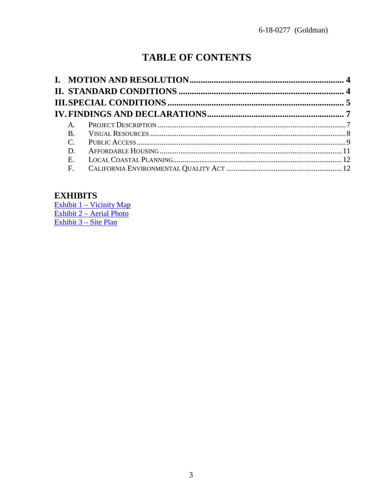## **TABLE OF CONTENTS**

| $A_{1}$       |  |
|---------------|--|
|               |  |
| $\mathcal{C}$ |  |
| D.            |  |
| Е.            |  |
| $F_{\cdot}$   |  |
|               |  |

#### **EXHIBITS**

Exhibit 1 - Vicinity Map Exhibit 2 – Aerial Photo<br>Exhibit 3 – Site Plan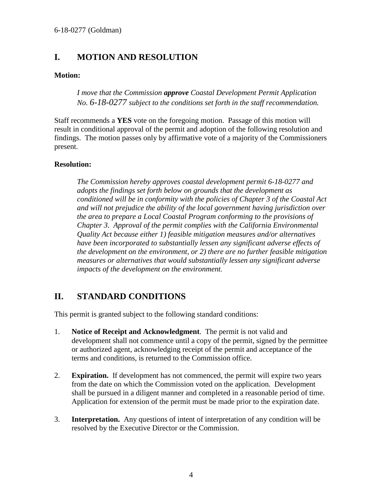#### <span id="page-3-0"></span>**I. MOTION AND RESOLUTION**

#### **Motion:**

*I move that the Commission approve Coastal Development Permit Application No. 6-18-0277 subject to the conditions set forth in the staff recommendation.* 

Staff recommends a **YES** vote on the foregoing motion. Passage of this motion will result in conditional approval of the permit and adoption of the following resolution and findings. The motion passes only by affirmative vote of a majority of the Commissioners present.

#### **Resolution:**

*The Commission hereby approves coastal development permit 6-18-0277 and adopts the findings set forth below on grounds that the development as conditioned will be in conformity with the policies of Chapter 3 of the Coastal Act and will not prejudice the ability of the local government having jurisdiction over the area to prepare a Local Coastal Program conforming to the provisions of Chapter 3. Approval of the permit complies with the California Environmental Quality Act because either 1) feasible mitigation measures and/or alternatives have been incorporated to substantially lessen any significant adverse effects of the development on the environment, or 2) there are no further feasible mitigation measures or alternatives that would substantially lessen any significant adverse impacts of the development on the environment.* 

#### <span id="page-3-1"></span>**II. STANDARD CONDITIONS**

This permit is granted subject to the following standard conditions:

- 1. **Notice of Receipt and Acknowledgment**. The permit is not valid and development shall not commence until a copy of the permit, signed by the permittee or authorized agent, acknowledging receipt of the permit and acceptance of the terms and conditions, is returned to the Commission office.
- 2. **Expiration.** If development has not commenced, the permit will expire two years from the date on which the Commission voted on the application. Development shall be pursued in a diligent manner and completed in a reasonable period of time. Application for extension of the permit must be made prior to the expiration date.
- 3. **Interpretation.** Any questions of intent of interpretation of any condition will be resolved by the Executive Director or the Commission.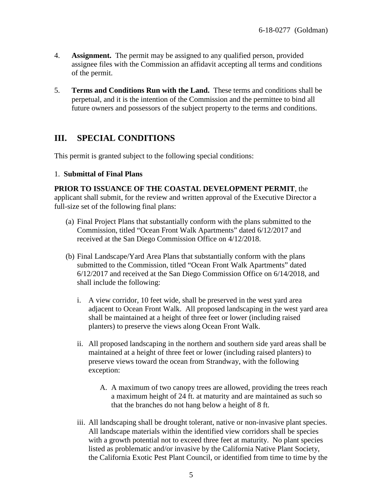- 4. **Assignment.** The permit may be assigned to any qualified person, provided assignee files with the Commission an affidavit accepting all terms and conditions of the permit.
- 5. **Terms and Conditions Run with the Land.** These terms and conditions shall be perpetual, and it is the intention of the Commission and the permittee to bind all future owners and possessors of the subject property to the terms and conditions.

#### <span id="page-4-0"></span>**III. SPECIAL CONDITIONS**

This permit is granted subject to the following special conditions:

#### 1. **Submittal of Final Plans**

**PRIOR TO ISSUANCE OF THE COASTAL DEVELOPMENT PERMIT**, the applicant shall submit, for the review and written approval of the Executive Director a full-size set of the following final plans:

- (a) Final Project Plans that substantially conform with the plans submitted to the Commission, titled "Ocean Front Walk Apartments" dated 6/12/2017 and received at the San Diego Commission Office on 4/12/2018.
- (b) Final Landscape/Yard Area Plans that substantially conform with the plans submitted to the Commission, titled "Ocean Front Walk Apartments" dated 6/12/2017 and received at the San Diego Commission Office on 6/14/2018, and shall include the following:
	- i. A view corridor, 10 feet wide, shall be preserved in the west yard area adjacent to Ocean Front Walk. All proposed landscaping in the west yard area shall be maintained at a height of three feet or lower (including raised planters) to preserve the views along Ocean Front Walk.
	- ii. All proposed landscaping in the northern and southern side yard areas shall be maintained at a height of three feet or lower (including raised planters) to preserve views toward the ocean from Strandway, with the following exception:
		- A. A maximum of two canopy trees are allowed, providing the trees reach a maximum height of 24 ft. at maturity and are maintained as such so that the branches do not hang below a height of 8 ft.
	- iii. All landscaping shall be drought tolerant, native or non-invasive plant species. All landscape materials within the identified view corridors shall be species with a growth potential not to exceed three feet at maturity. No plant species listed as problematic and/or invasive by the California Native Plant Society, the California Exotic Pest Plant Council, or identified from time to time by the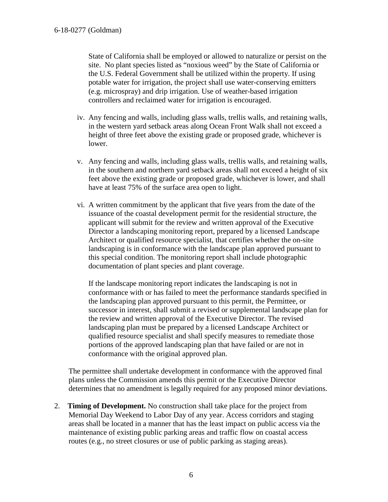State of California shall be employed or allowed to naturalize or persist on the site. No plant species listed as "noxious weed" by the State of California or the U.S. Federal Government shall be utilized within the property. If using potable water for irrigation, the project shall use water-conserving emitters (e.g. microspray) and drip irrigation. Use of weather-based irrigation controllers and reclaimed water for irrigation is encouraged.

- iv. Any fencing and walls, including glass walls, trellis walls, and retaining walls, in the western yard setback areas along Ocean Front Walk shall not exceed a height of three feet above the existing grade or proposed grade, whichever is lower.
- v. Any fencing and walls, including glass walls, trellis walls, and retaining walls, in the southern and northern yard setback areas shall not exceed a height of six feet above the existing grade or proposed grade, whichever is lower, and shall have at least 75% of the surface area open to light.
- vi. A written commitment by the applicant that five years from the date of the issuance of the coastal development permit for the residential structure, the applicant will submit for the review and written approval of the Executive Director a landscaping monitoring report, prepared by a licensed Landscape Architect or qualified resource specialist, that certifies whether the on-site landscaping is in conformance with the landscape plan approved pursuant to this special condition. The monitoring report shall include photographic documentation of plant species and plant coverage.

If the landscape monitoring report indicates the landscaping is not in conformance with or has failed to meet the performance standards specified in the landscaping plan approved pursuant to this permit, the Permittee, or successor in interest, shall submit a revised or supplemental landscape plan for the review and written approval of the Executive Director. The revised landscaping plan must be prepared by a licensed Landscape Architect or qualified resource specialist and shall specify measures to remediate those portions of the approved landscaping plan that have failed or are not in conformance with the original approved plan.

The permittee shall undertake development in conformance with the approved final plans unless the Commission amends this permit or the Executive Director determines that no amendment is legally required for any proposed minor deviations.

2. **Timing of Development.** No construction shall take place for the project from Memorial Day Weekend to Labor Day of any year. Access corridors and staging areas shall be located in a manner that has the least impact on public access via the maintenance of existing public parking areas and traffic flow on coastal access routes (e.g., no street closures or use of public parking as staging areas).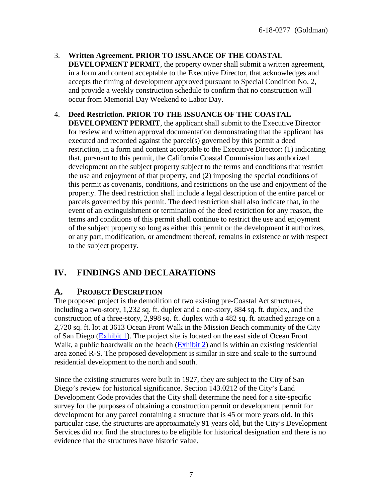- 3. **Written Agreement. PRIOR TO ISSUANCE OF THE COASTAL DEVELOPMENT PERMIT**, the property owner shall submit a written agreement, in a form and content acceptable to the Executive Director, that acknowledges and accepts the timing of development approved pursuant to Special Condition No. 2, and provide a weekly construction schedule to confirm that no construction will occur from Memorial Day Weekend to Labor Day.
- 4. **Deed Restriction. PRIOR TO THE ISSUANCE OF THE COASTAL DEVELOPMENT PERMIT**, the applicant shall submit to the Executive Director for review and written approval documentation demonstrating that the applicant has executed and recorded against the parcel(s) governed by this permit a deed restriction, in a form and content acceptable to the Executive Director: (1) indicating that, pursuant to this permit, the California Coastal Commission has authorized development on the subject property subject to the terms and conditions that restrict the use and enjoyment of that property, and (2) imposing the special conditions of this permit as covenants, conditions, and restrictions on the use and enjoyment of the property. The deed restriction shall include a legal description of the entire parcel or parcels governed by this permit. The deed restriction shall also indicate that, in the event of an extinguishment or termination of the deed restriction for any reason, the terms and conditions of this permit shall continue to restrict the use and enjoyment of the subject property so long as either this permit or the development it authorizes, or any part, modification, or amendment thereof, remains in existence or with respect to the subject property.

### <span id="page-6-0"></span>**IV. FINDINGS AND DECLARATIONS**

#### <span id="page-6-1"></span>**A. PROJECT DESCRIPTION**

The proposed project is the demolition of two existing pre-Coastal Act structures, including a two-story, 1,232 sq. ft. duplex and a one-story, 884 sq. ft. duplex, and the construction of a three-story, 2,998 sq. ft. duplex with a 482 sq. ft. attached garage on a 2,720 sq. ft. lot at 3613 Ocean Front Walk in the Mission Beach community of the City of San Diego [\(Exhibit 1\)](https://documents.coastal.ca.gov/reports/2018/7/w27b/w27b-7-2018-exhibits.pdf). The project site is located on the east side of Ocean Front Walk, a public boardwalk on the beach [\(Exhibit 2\)](https://documents.coastal.ca.gov/reports/2018/7/w27b/w27b-7-2018-exhibits.pdf) and is within an existing residential area zoned R-S. The proposed development is similar in size and scale to the surround residential development to the north and south.

Since the existing structures were built in 1927, they are subject to the City of San Diego's review for historical significance. Section 143.0212 of the City's Land Development Code provides that the City shall determine the need for a site-specific survey for the purposes of obtaining a construction permit or development permit for development for any parcel containing a structure that is 45 or more years old. In this particular case, the structures are approximately 91 years old, but the City's Development Services did not find the structures to be eligible for historical designation and there is no evidence that the structures have historic value.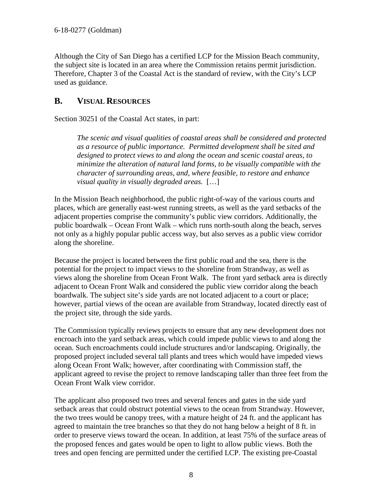Although the City of San Diego has a certified LCP for the Mission Beach community, the subject site is located in an area where the Commission retains permit jurisdiction. Therefore, Chapter 3 of the Coastal Act is the standard of review, with the City's LCP used as guidance.

#### <span id="page-7-0"></span>**B. VISUAL RESOURCES**

Section 30251 of the Coastal Act states, in part:

*The scenic and visual qualities of coastal areas shall be considered and protected as a resource of public importance. Permitted development shall be sited and designed to protect views to and along the ocean and scenic coastal areas, to minimize the alteration of natural land forms, to be visually compatible with the character of surrounding areas, and, where feasible, to restore and enhance visual quality in visually degraded areas.* […]

In the Mission Beach neighborhood, the public right-of-way of the various courts and places, which are generally east-west running streets, as well as the yard setbacks of the adjacent properties comprise the community's public view corridors. Additionally, the public boardwalk – Ocean Front Walk – which runs north-south along the beach, serves not only as a highly popular public access way, but also serves as a public view corridor along the shoreline.

Because the project is located between the first public road and the sea, there is the potential for the project to impact views to the shoreline from Strandway, as well as views along the shoreline from Ocean Front Walk. The front yard setback area is directly adjacent to Ocean Front Walk and considered the public view corridor along the beach boardwalk. The subject site's side yards are not located adjacent to a court or place; however, partial views of the ocean are available from Strandway, located directly east of the project site, through the side yards.

The Commission typically reviews projects to ensure that any new development does not encroach into the yard setback areas, which could impede public views to and along the ocean. Such encroachments could include structures and/or landscaping. Originally, the proposed project included several tall plants and trees which would have impeded views along Ocean Front Walk; however, after coordinating with Commission staff, the applicant agreed to revise the project to remove landscaping taller than three feet from the Ocean Front Walk view corridor.

The applicant also proposed two trees and several fences and gates in the side yard setback areas that could obstruct potential views to the ocean from Strandway. However, the two trees would be canopy trees, with a mature height of 24 ft. and the applicant has agreed to maintain the tree branches so that they do not hang below a height of 8 ft. in order to preserve views toward the ocean. In addition, at least 75% of the surface areas of the proposed fences and gates would be open to light to allow public views. Both the trees and open fencing are permitted under the certified LCP. The existing pre-Coastal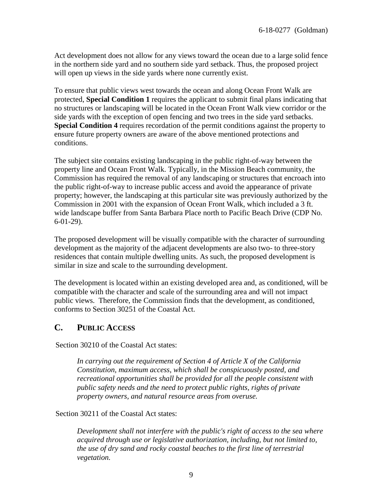Act development does not allow for any views toward the ocean due to a large solid fence in the northern side yard and no southern side yard setback. Thus, the proposed project will open up views in the side yards where none currently exist.

To ensure that public views west towards the ocean and along Ocean Front Walk are protected, **Special Condition 1** requires the applicant to submit final plans indicating that no structures or landscaping will be located in the Ocean Front Walk view corridor or the side yards with the exception of open fencing and two trees in the side yard setbacks. **Special Condition 4** requires recordation of the permit conditions against the property to ensure future property owners are aware of the above mentioned protections and conditions.

The subject site contains existing landscaping in the public right-of-way between the property line and Ocean Front Walk. Typically, in the Mission Beach community, the Commission has required the removal of any landscaping or structures that encroach into the public right-of-way to increase public access and avoid the appearance of private property; however, the landscaping at this particular site was previously authorized by the Commission in 2001 with the expansion of Ocean Front Walk, which included a 3 ft. wide landscape buffer from Santa Barbara Place north to Pacific Beach Drive (CDP No. 6-01-29).

The proposed development will be visually compatible with the character of surrounding development as the majority of the adjacent developments are also two- to three-story residences that contain multiple dwelling units. As such, the proposed development is similar in size and scale to the surrounding development.

The development is located within an existing developed area and, as conditioned, will be compatible with the character and scale of the surrounding area and will not impact public views. Therefore, the Commission finds that the development, as conditioned, conforms to Section 30251 of the Coastal Act.

#### <span id="page-8-0"></span>**C. PUBLIC ACCESS**

Section 30210 of the Coastal Act states:

*In carrying out the requirement of Section 4 of Article X of the California Constitution, maximum access, which shall be conspicuously posted, and recreational opportunities shall be provided for all the people consistent with public safety needs and the need to protect public rights, rights of private property owners, and natural resource areas from overuse.* 

Section 30211 of the Coastal Act states:

*Development shall not interfere with the public's right of access to the sea where acquired through use or legislative authorization, including, but not limited to, the use of dry sand and rocky coastal beaches to the first line of terrestrial vegetation.*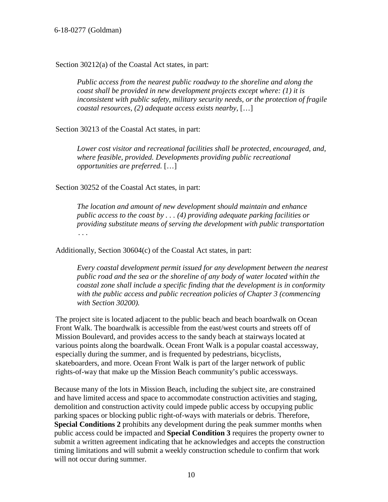#### 6-18-0277 (Goldman)

Section 30212(a) of the Coastal Act states, in part:

*Public access from the nearest public roadway to the shoreline and along the coast shall be provided in new development projects except where: (1) it is inconsistent with public safety, military security needs, or the protection of fragile coastal resources, (2) adequate access exists nearby,* […]

Section 30213 of the Coastal Act states, in part:

*Lower cost visitor and recreational facilities shall be protected, encouraged, and, where feasible, provided. Developments providing public recreational opportunities are preferred.* […]

Section 30252 of the Coastal Act states, in part:

*The location and amount of new development should maintain and enhance public access to the coast by . . . (4) providing adequate parking facilities or providing substitute means of serving the development with public transportation . . .*

Additionally, Section 30604(c) of the Coastal Act states, in part:

*Every coastal development permit issued for any development between the nearest public road and the sea or the shoreline of any body of water located within the coastal zone shall include a specific finding that the development is in conformity with the public access and public recreation policies of Chapter 3 (commencing with Section 30200).* 

The project site is located adjacent to the public beach and beach boardwalk on Ocean Front Walk. The boardwalk is accessible from the east/west courts and streets off of Mission Boulevard, and provides access to the sandy beach at stairways located at various points along the boardwalk. Ocean Front Walk is a popular coastal accessway, especially during the summer, and is frequented by pedestrians, bicyclists, skateboarders, and more. Ocean Front Walk is part of the larger network of public rights-of-way that make up the Mission Beach community's public accessways.

Because many of the lots in Mission Beach, including the subject site, are constrained and have limited access and space to accommodate construction activities and staging, demolition and construction activity could impede public access by occupying public parking spaces or blocking public right-of-ways with materials or debris. Therefore, **Special Conditions 2** prohibits any development during the peak summer months when public access could be impacted and **Special Condition 3** requires the property owner to submit a written agreement indicating that he acknowledges and accepts the construction timing limitations and will submit a weekly construction schedule to confirm that work will not occur during summer.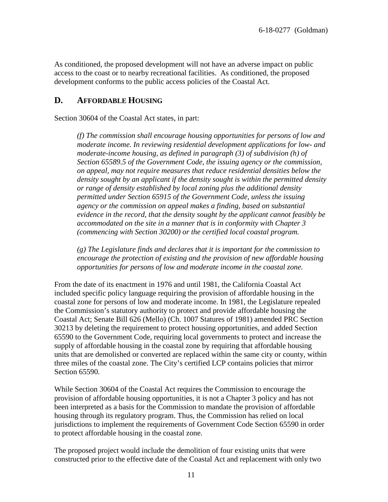As conditioned, the proposed development will not have an adverse impact on public access to the coast or to nearby recreational facilities. As conditioned, the proposed development conforms to the public access policies of the Coastal Act.

#### <span id="page-10-0"></span>**D. AFFORDABLE HOUSING**

Section 30604 of the Coastal Act states, in part:

*(f) The commission shall encourage housing opportunities for persons of low and moderate income. In reviewing residential development applications for low- and moderate-income housing, as defined in paragraph (3) of subdivision (h) of Section 65589.5 of the Government Code, the issuing agency or the commission, on appeal, may not require measures that reduce residential densities below the density sought by an applicant if the density sought is within the permitted density or range of density established by local zoning plus the additional density permitted under Section 65915 of the Government Code, unless the issuing agency or the commission on appeal makes a finding, based on substantial evidence in the record, that the density sought by the applicant cannot feasibly be accommodated on the site in a manner that is in conformity with Chapter 3 (commencing with Section 30200) or the certified local coastal program.* 

*(g) The Legislature finds and declares that it is important for the commission to encourage the protection of existing and the provision of new affordable housing opportunities for persons of low and moderate income in the coastal zone.* 

From the date of its enactment in 1976 and until 1981, the California Coastal Act included specific policy language requiring the provision of affordable housing in the coastal zone for persons of low and moderate income. In 1981, the Legislature repealed the Commission's statutory authority to protect and provide affordable housing the Coastal Act; Senate Bill 626 (Mello) (Ch. 1007 Statures of 1981) amended PRC Section 30213 by deleting the requirement to protect housing opportunities, and added Section 65590 to the Government Code, requiring local governments to protect and increase the supply of affordable housing in the coastal zone by requiring that affordable housing units that are demolished or converted are replaced within the same city or county, within three miles of the coastal zone. The City's certified LCP contains policies that mirror Section 65590.

While Section 30604 of the Coastal Act requires the Commission to encourage the provision of affordable housing opportunities, it is not a Chapter 3 policy and has not been interpreted as a basis for the Commission to mandate the provision of affordable housing through its regulatory program. Thus, the Commission has relied on local jurisdictions to implement the requirements of Government Code Section 65590 in order to protect affordable housing in the coastal zone.

The proposed project would include the demolition of four existing units that were constructed prior to the effective date of the Coastal Act and replacement with only two